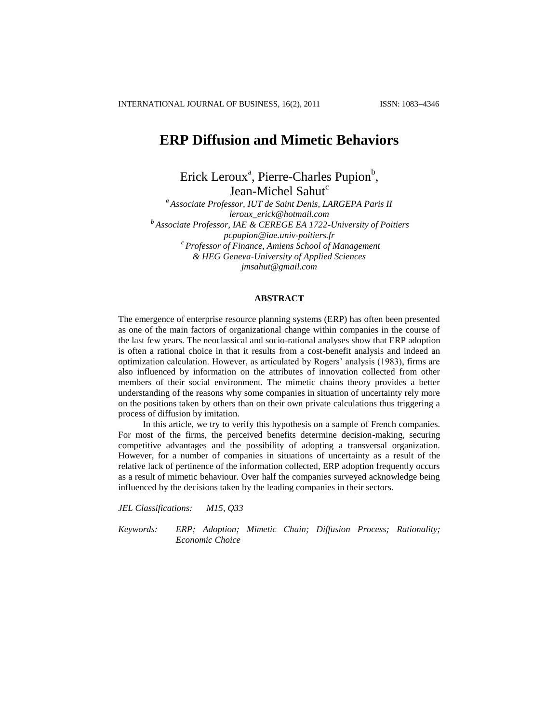# **ERP Diffusion and Mimetic Behaviors**

Erick Leroux<sup>a</sup>, Pierre-Charles Pupion<sup>b</sup>, Jean-Michel Sahut<sup>c</sup>

*<sup>a</sup> Associate Professor, IUT de Saint Denis, LARGEPA Paris II leroux\_erick@hotmail.com <sup>b</sup> Associate Professor, IAE & CEREGE EA 1722-University of Poitiers pcpupion@iae.univ-poitiers.fr <sup>c</sup> Professor of Finance, Amiens School of Management & HEG Geneva-University of Applied Sciences jmsahut@gmail.com*

#### **ABSTRACT**

The emergence of enterprise resource planning systems (ERP) has often been presented as one of the main factors of organizational change within companies in the course of the last few years. The neoclassical and socio-rational analyses show that ERP adoption is often a rational choice in that it results from a cost-benefit analysis and indeed an optimization calculation. However, as articulated by Rogers" analysis (1983), firms are also influenced by information on the attributes of innovation collected from other members of their social environment. The mimetic chains theory provides a better understanding of the reasons why some companies in situation of uncertainty rely more on the positions taken by others than on their own private calculations thus triggering a process of diffusion by imitation.

In this article, we try to verify this hypothesis on a sample of French companies. For most of the firms, the perceived benefits determine decision-making, securing competitive advantages and the possibility of adopting a transversal organization. However, for a number of companies in situations of uncertainty as a result of the relative lack of pertinence of the information collected, ERP adoption frequently occurs as a result of mimetic behaviour. Over half the companies surveyed acknowledge being influenced by the decisions taken by the leading companies in their sectors.

*JEL Classifications: M15, Q33*

*Keywords: ERP; Adoption; Mimetic Chain; Diffusion Process; Rationality; Economic Choice*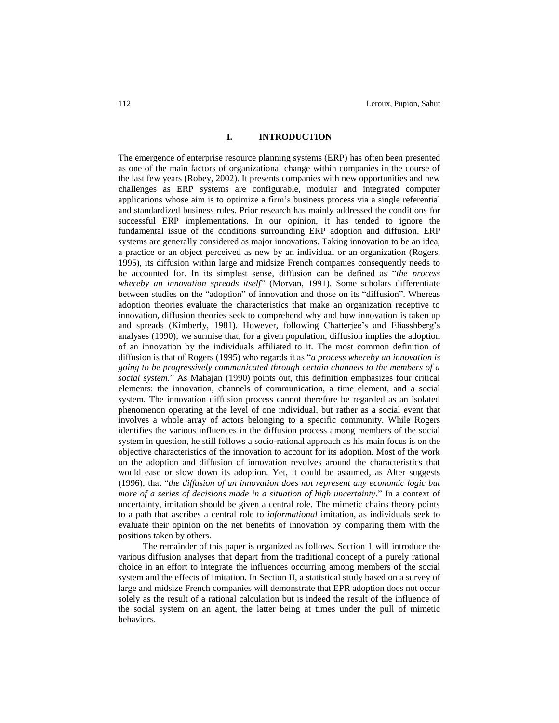## **I. INTRODUCTION**

The emergence of enterprise resource planning systems (ERP) has often been presented as one of the main factors of organizational change within companies in the course of the last few years (Robey, 2002). It presents companies with new opportunities and new challenges as ERP systems are configurable, modular and integrated computer applications whose aim is to optimize a firm"s business process via a single referential and standardized business rules. Prior research has mainly addressed the conditions for successful ERP implementations. In our opinion, it has tended to ignore the fundamental issue of the conditions surrounding ERP adoption and diffusion. ERP systems are generally considered as major innovations. Taking innovation to be an idea, a practice or an object perceived as new by an individual or an organization (Rogers, 1995), its diffusion within large and midsize French companies consequently needs to be accounted for. In its simplest sense, diffusion can be defined as "*the process whereby an innovation spreads itself*" (Morvan, 1991). Some scholars differentiate between studies on the "adoption" of innovation and those on its "diffusion". Whereas adoption theories evaluate the characteristics that make an organization receptive to innovation, diffusion theories seek to comprehend why and how innovation is taken up and spreads (Kimberly, 1981). However, following Chatterjee"s and Eliasshberg"s analyses (1990), we surmise that, for a given population, diffusion implies the adoption of an innovation by the individuals affiliated to it. The most common definition of diffusion is that of Rogers (1995) who regards it as "*a process whereby an innovation is going to be progressively communicated through certain channels to the members of a social system.*" As Mahajan (1990) points out, this definition emphasizes four critical elements: the innovation, channels of communication, a time element, and a social system. The innovation diffusion process cannot therefore be regarded as an isolated phenomenon operating at the level of one individual, but rather as a social event that involves a whole array of actors belonging to a specific community. While Rogers identifies the various influences in the diffusion process among members of the social system in question, he still follows a socio-rational approach as his main focus is on the objective characteristics of the innovation to account for its adoption. Most of the work on the adoption and diffusion of innovation revolves around the characteristics that would ease or slow down its adoption. Yet, it could be assumed, as Alter suggests (1996), that "*the diffusion of an innovation does not represent any economic logic but more of a series of decisions made in a situation of high uncertainty.*" In a context of uncertainty, imitation should be given a central role. The mimetic chains theory points to a path that ascribes a central role to *informational* imitation, as individuals seek to evaluate their opinion on the net benefits of innovation by comparing them with the positions taken by others.

The remainder of this paper is organized as follows. Section 1 will introduce the various diffusion analyses that depart from the traditional concept of a purely rational choice in an effort to integrate the influences occurring among members of the social system and the effects of imitation. In Section II, a statistical study based on a survey of large and midsize French companies will demonstrate that EPR adoption does not occur solely as the result of a rational calculation but is indeed the result of the influence of the social system on an agent, the latter being at times under the pull of mimetic behaviors.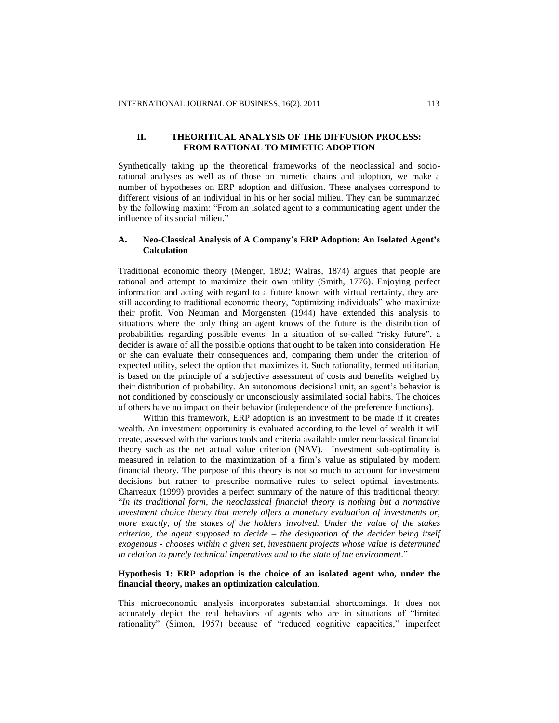# **II. THEORITICAL ANALYSIS OF THE DIFFUSION PROCESS: FROM RATIONAL TO MIMETIC ADOPTION**

Synthetically taking up the theoretical frameworks of the neoclassical and sociorational analyses as well as of those on mimetic chains and adoption, we make a number of hypotheses on ERP adoption and diffusion. These analyses correspond to different visions of an individual in his or her social milieu. They can be summarized by the following maxim: "From an isolated agent to a communicating agent under the influence of its social milieu."

# **A. Neo-Classical Analysis of A Company's ERP Adoption: An Isolated Agent's Calculation**

Traditional economic theory (Menger, 1892; Walras, 1874) argues that people are rational and attempt to maximize their own utility (Smith, 1776). Enjoying perfect information and acting with regard to a future known with virtual certainty, they are, still according to traditional economic theory, "optimizing individuals" who maximize their profit. Von Neuman and Morgensten (1944) have extended this analysis to situations where the only thing an agent knows of the future is the distribution of probabilities regarding possible events. In a situation of so-called "risky future", a decider is aware of all the possible options that ought to be taken into consideration. He or she can evaluate their consequences and, comparing them under the criterion of expected utility, select the option that maximizes it. Such rationality, termed utilitarian, is based on the principle of a subjective assessment of costs and benefits weighed by their distribution of probability. An autonomous decisional unit, an agent's behavior is not conditioned by consciously or unconsciously assimilated social habits. The choices of others have no impact on their behavior (independence of the preference functions).

Within this framework, ERP adoption is an investment to be made if it creates wealth. An investment opportunity is evaluated according to the level of wealth it will create, assessed with the various tools and criteria available under neoclassical financial theory such as the net actual value criterion (NAV). Investment sub-optimality is measured in relation to the maximization of a firm"s value as stipulated by modern financial theory. The purpose of this theory is not so much to account for investment decisions but rather to prescribe normative rules to select optimal investments. Charreaux (1999) provides a perfect summary of the nature of this traditional theory: "*In its traditional form, the neoclassical financial theory is nothing but a normative investment choice theory that merely offers a monetary evaluation of investments or, more exactly, of the stakes of the holders involved. Under the value of the stakes criterion, the agent supposed to decide – the designation of the decider being itself exogenous - chooses within a given set, investment projects whose value is determined in relation to purely technical imperatives and to the state of the environment.*"

## **Hypothesis 1: ERP adoption is the choice of an isolated agent who, under the financial theory, makes an optimization calculation**.

This microeconomic analysis incorporates substantial shortcomings. It does not accurately depict the real behaviors of agents who are in situations of "limited rationality" (Simon, 1957) because of "reduced cognitive capacities," imperfect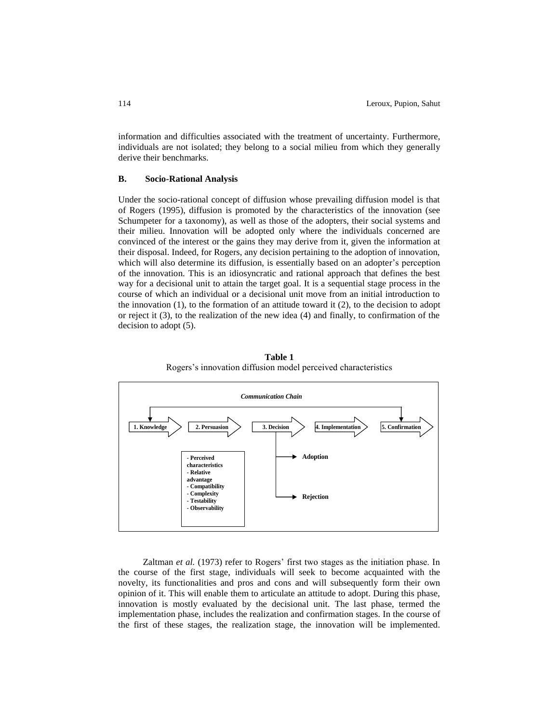information and difficulties associated with the treatment of uncertainty. Furthermore, individuals are not isolated; they belong to a social milieu from which they generally derive their benchmarks.

#### **B. Socio-Rational Analysis**

Under the socio-rational concept of diffusion whose prevailing diffusion model is that of Rogers (1995), diffusion is promoted by the characteristics of the innovation (see Schumpeter for a taxonomy), as well as those of the adopters, their social systems and their milieu. Innovation will be adopted only where the individuals concerned are convinced of the interest or the gains they may derive from it, given the information at their disposal. Indeed, for Rogers, any decision pertaining to the adoption of innovation, which will also determine its diffusion, is essentially based on an adopter's perception of the innovation. This is an idiosyncratic and rational approach that defines the best way for a decisional unit to attain the target goal. It is a sequential stage process in the course of which an individual or a decisional unit move from an initial introduction to the innovation (1), to the formation of an attitude toward it (2), to the decision to adopt or reject it (3), to the realization of the new idea (4) and finally, to confirmation of the decision to adopt (5).





Zaltman *et al.* (1973) refer to Rogers' first two stages as the initiation phase. In the course of the first stage, individuals will seek to become acquainted with the novelty, its functionalities and pros and cons and will subsequently form their own opinion of it. This will enable them to articulate an attitude to adopt. During this phase, innovation is mostly evaluated by the decisional unit. The last phase, termed the implementation phase, includes the realization and confirmation stages. In the course of the first of these stages, the realization stage, the innovation will be implemented.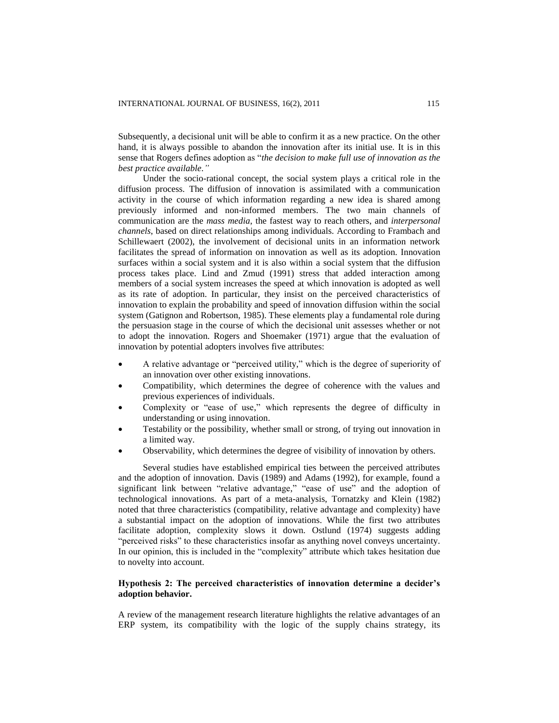Subsequently, a decisional unit will be able to confirm it as a new practice. On the other hand, it is always possible to abandon the innovation after its initial use. It is in this sense that Rogers defines adoption as "*the decision to make full use of innovation as the best practice available."*

Under the socio-rational concept, the social system plays a critical role in the diffusion process. The diffusion of innovation is assimilated with a communication activity in the course of which information regarding a new idea is shared among previously informed and non-informed members. The two main channels of communication are the *mass media*, the fastest way to reach others, and *interpersonal channels*, based on direct relationships among individuals. According to Frambach and Schillewaert (2002), the involvement of decisional units in an information network facilitates the spread of information on innovation as well as its adoption. Innovation surfaces within a social system and it is also within a social system that the diffusion process takes place. Lind and Zmud (1991) stress that added interaction among members of a social system increases the speed at which innovation is adopted as well as its rate of adoption. In particular, they insist on the perceived characteristics of innovation to explain the probability and speed of innovation diffusion within the social system (Gatignon and Robertson, 1985). These elements play a fundamental role during the persuasion stage in the course of which the decisional unit assesses whether or not to adopt the innovation. Rogers and Shoemaker (1971) argue that the evaluation of innovation by potential adopters involves five attributes:

- A relative advantage or "perceived utility," which is the degree of superiority of an innovation over other existing innovations.
- Compatibility, which determines the degree of coherence with the values and previous experiences of individuals.
- Complexity or "ease of use," which represents the degree of difficulty in understanding or using innovation.
- Testability or the possibility, whether small or strong, of trying out innovation in a limited way.
- Observability, which determines the degree of visibility of innovation by others.

Several studies have established empirical ties between the perceived attributes and the adoption of innovation. Davis (1989) and Adams (1992), for example, found a significant link between "relative advantage," "ease of use" and the adoption of technological innovations. As part of a meta-analysis, Tornatzky and Klein (1982) noted that three characteristics (compatibility, relative advantage and complexity) have a substantial impact on the adoption of innovations. While the first two attributes facilitate adoption, complexity slows it down. Ostlund (1974) suggests adding "perceived risks" to these characteristics insofar as anything novel conveys uncertainty. In our opinion, this is included in the "complexity" attribute which takes hesitation due to novelty into account.

## **Hypothesis 2: The perceived characteristics of innovation determine a decider's adoption behavior.**

A review of the management research literature highlights the relative advantages of an ERP system, its compatibility with the logic of the supply chains strategy, its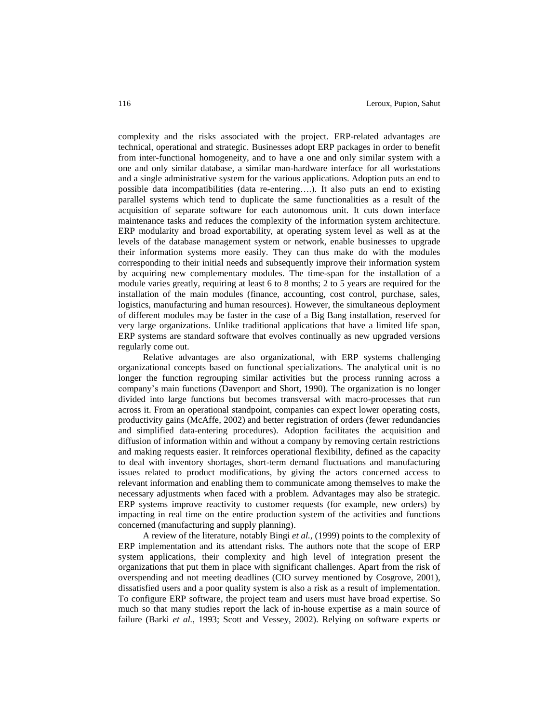complexity and the risks associated with the project. ERP-related advantages are technical, operational and strategic. Businesses adopt ERP packages in order to benefit from inter-functional homogeneity, and to have a one and only similar system with a one and only similar database, a similar man-hardware interface for all workstations and a single administrative system for the various applications. Adoption puts an end to possible data incompatibilities (data re-entering….). It also puts an end to existing parallel systems which tend to duplicate the same functionalities as a result of the acquisition of separate software for each autonomous unit. It cuts down interface maintenance tasks and reduces the complexity of the information system architecture. ERP modularity and broad exportability, at operating system level as well as at the levels of the database management system or network, enable businesses to upgrade their information systems more easily. They can thus make do with the modules corresponding to their initial needs and subsequently improve their information system by acquiring new complementary modules. The time-span for the installation of a module varies greatly, requiring at least 6 to 8 months; 2 to 5 years are required for the installation of the main modules (finance, accounting, cost control, purchase, sales, logistics, manufacturing and human resources). However, the simultaneous deployment of different modules may be faster in the case of a Big Bang installation, reserved for very large organizations. Unlike traditional applications that have a limited life span, ERP systems are standard software that evolves continually as new upgraded versions regularly come out.

Relative advantages are also organizational, with ERP systems challenging organizational concepts based on functional specializations. The analytical unit is no longer the function regrouping similar activities but the process running across a company"s main functions (Davenport and Short, 1990). The organization is no longer divided into large functions but becomes transversal with macro-processes that run across it. From an operational standpoint, companies can expect lower operating costs, productivity gains (McAffe, 2002) and better registration of orders (fewer redundancies and simplified data-entering procedures). Adoption facilitates the acquisition and diffusion of information within and without a company by removing certain restrictions and making requests easier. It reinforces operational flexibility, defined as the capacity to deal with inventory shortages, short-term demand fluctuations and manufacturing issues related to product modifications, by giving the actors concerned access to relevant information and enabling them to communicate among themselves to make the necessary adjustments when faced with a problem. Advantages may also be strategic. ERP systems improve reactivity to customer requests (for example, new orders) by impacting in real time on the entire production system of the activities and functions concerned (manufacturing and supply planning).

A review of the literature, notably Bingi *et al.*, (1999) points to the complexity of ERP implementation and its attendant risks. The authors note that the scope of ERP system applications, their complexity and high level of integration present the organizations that put them in place with significant challenges. Apart from the risk of overspending and not meeting deadlines (CIO survey mentioned by Cosgrove, 2001), dissatisfied users and a poor quality system is also a risk as a result of implementation. To configure ERP software, the project team and users must have broad expertise. So much so that many studies report the lack of in-house expertise as a main source of failure (Barki *et al.*, 1993; Scott and Vessey, 2002). Relying on software experts or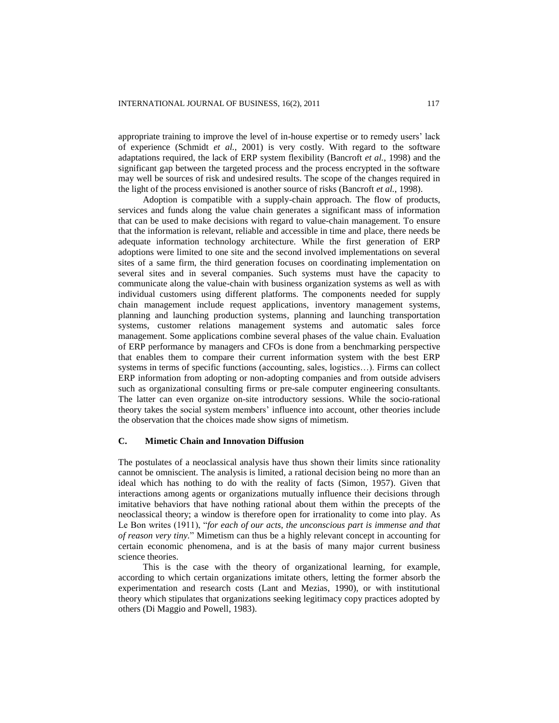appropriate training to improve the level of in-house expertise or to remedy users" lack of experience (Schmidt *et al.*, 2001) is very costly. With regard to the software adaptations required, the lack of ERP system flexibility (Bancroft *et al.*, 1998) and the significant gap between the targeted process and the process encrypted in the software may well be sources of risk and undesired results. The scope of the changes required in the light of the process envisioned is another source of risks (Bancroft *et al.*, 1998).

Adoption is compatible with a supply-chain approach. The flow of products, services and funds along the value chain generates a significant mass of information that can be used to make decisions with regard to value-chain management. To ensure that the information is relevant, reliable and accessible in time and place, there needs be adequate information technology architecture. While the first generation of ERP adoptions were limited to one site and the second involved implementations on several sites of a same firm, the third generation focuses on coordinating implementation on several sites and in several companies. Such systems must have the capacity to communicate along the value-chain with business organization systems as well as with individual customers using different platforms. The components needed for supply chain management include request applications, inventory management systems, planning and launching production systems, planning and launching transportation systems, customer relations management systems and automatic sales force management. Some applications combine several phases of the value chain. Evaluation of ERP performance by managers and CFOs is done from a benchmarking perspective that enables them to compare their current information system with the best ERP systems in terms of specific functions (accounting, sales, logistics…). Firms can collect ERP information from adopting or non-adopting companies and from outside advisers such as organizational consulting firms or pre-sale computer engineering consultants. The latter can even organize on-site introductory sessions. While the socio-rational theory takes the social system members" influence into account, other theories include the observation that the choices made show signs of mimetism.

# **C. Mimetic Chain and Innovation Diffusion**

The postulates of a neoclassical analysis have thus shown their limits since rationality cannot be omniscient. The analysis is limited, a rational decision being no more than an ideal which has nothing to do with the reality of facts (Simon, 1957). Given that interactions among agents or organizations mutually influence their decisions through imitative behaviors that have nothing rational about them within the precepts of the neoclassical theory; a window is therefore open for irrationality to come into play. As Le Bon writes (1911), "*for each of our acts, the unconscious part is immense and that of reason very tiny.*" Mimetism can thus be a highly relevant concept in accounting for certain economic phenomena, and is at the basis of many major current business science theories.

This is the case with the theory of organizational learning, for example, according to which certain organizations imitate others, letting the former absorb the experimentation and research costs (Lant and Mezias, 1990), or with institutional theory which stipulates that organizations seeking legitimacy copy practices adopted by others (Di Maggio and Powell, 1983).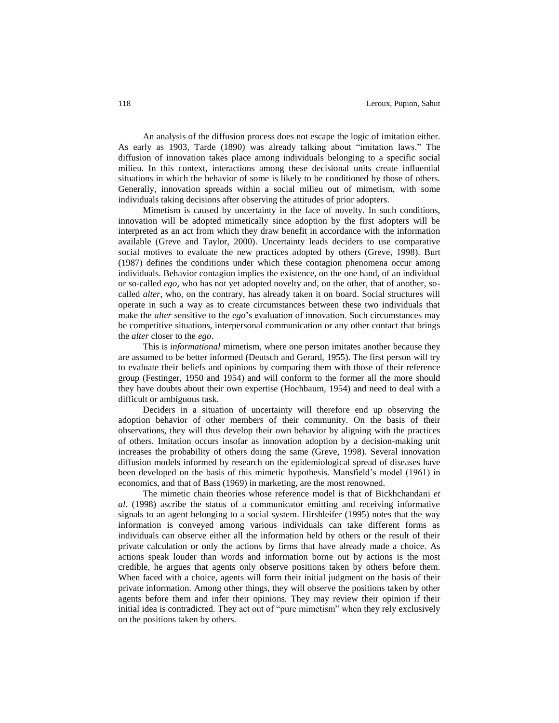An analysis of the diffusion process does not escape the logic of imitation either. As early as 1903, Tarde (1890) was already talking about "imitation laws." The diffusion of innovation takes place among individuals belonging to a specific social milieu. In this context, interactions among these decisional units create influential situations in which the behavior of some is likely to be conditioned by those of others. Generally, innovation spreads within a social milieu out of mimetism, with some individuals taking decisions after observing the attitudes of prior adopters.

Mimetism is caused by uncertainty in the face of novelty. In such conditions, innovation will be adopted mimetically since adoption by the first adopters will be interpreted as an act from which they draw benefit in accordance with the information available (Greve and Taylor, 2000). Uncertainty leads deciders to use comparative social motives to evaluate the new practices adopted by others (Greve, 1998). Burt (1987) defines the conditions under which these contagion phenomena occur among individuals. Behavior contagion implies the existence, on the one hand, of an individual or so-called *ego,* who has not yet adopted novelty and, on the other, that of another, socalled *alter*, who, on the contrary, has already taken it on board. Social structures will operate in such a way as to create circumstances between these two individuals that make the *alter* sensitive to the *ego*"s evaluation of innovation. Such circumstances may be competitive situations, interpersonal communication or any other contact that brings the *alter* closer to the *ego*.

This is *informational* mimetism, where one person imitates another because they are assumed to be better informed (Deutsch and Gerard, 1955). The first person will try to evaluate their beliefs and opinions by comparing them with those of their reference group (Festinger, 1950 and 1954) and will conform to the former all the more should they have doubts about their own expertise (Hochbaum, 1954) and need to deal with a difficult or ambiguous task.

Deciders in a situation of uncertainty will therefore end up observing the adoption behavior of other members of their community. On the basis of their observations, they will thus develop their own behavior by aligning with the practices of others. Imitation occurs insofar as innovation adoption by a decision-making unit increases the probability of others doing the same (Greve, 1998). Several innovation diffusion models informed by research on the epidemiological spread of diseases have been developed on the basis of this mimetic hypothesis. Mansfield"s model (1961) in economics, and that of Bass (1969) in marketing, are the most renowned.

The mimetic chain theories whose reference model is that of Bickhchandani *et al.* (1998) ascribe the status of a communicator emitting and receiving informative signals to an agent belonging to a social system. Hirshleifer (1995) notes that the way information is conveyed among various individuals can take different forms as individuals can observe either all the information held by others or the result of their private calculation or only the actions by firms that have already made a choice. As actions speak louder than words and information borne out by actions is the most credible, he argues that agents only observe positions taken by others before them. When faced with a choice, agents will form their initial judgment on the basis of their private information. Among other things, they will observe the positions taken by other agents before them and infer their opinions. They may review their opinion if their initial idea is contradicted. They act out of "pure mimetism" when they rely exclusively on the positions taken by others.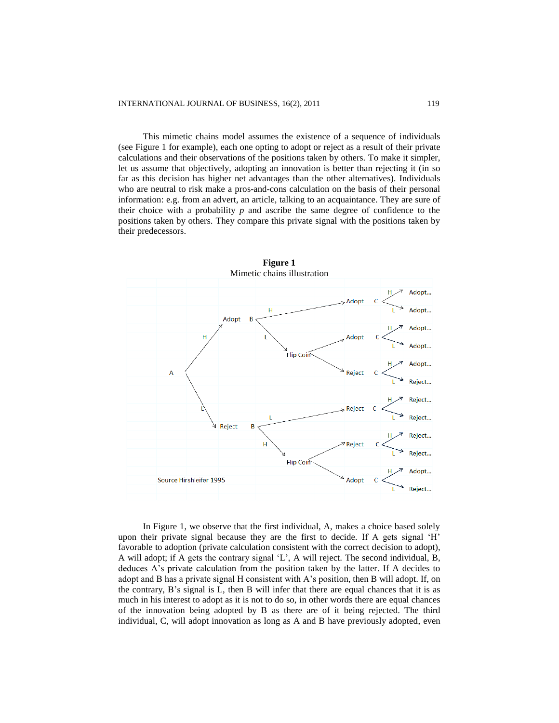This mimetic chains model assumes the existence of a sequence of individuals (see Figure 1 for example), each one opting to adopt or reject as a result of their private calculations and their observations of the positions taken by others. To make it simpler, let us assume that objectively, adopting an innovation is better than rejecting it (in so far as this decision has higher net advantages than the other alternatives). Individuals who are neutral to risk make a pros-and-cons calculation on the basis of their personal information: e.g. from an advert, an article, talking to an acquaintance. They are sure of their choice with a probability *p* and ascribe the same degree of confidence to the positions taken by others. They compare this private signal with the positions taken by their predecessors.



In Figure 1, we observe that the first individual, A, makes a choice based solely upon their private signal because they are the first to decide. If A gets signal "H" favorable to adoption (private calculation consistent with the correct decision to adopt), A will adopt; if A gets the contrary signal "L", A will reject. The second individual, B, deduces A"s private calculation from the position taken by the latter. If A decides to adopt and B has a private signal H consistent with A"s position, then B will adopt. If, on the contrary, B"s signal is L, then B will infer that there are equal chances that it is as much in his interest to adopt as it is not to do so, in other words there are equal chances of the innovation being adopted by B as there are of it being rejected. The third individual, C, will adopt innovation as long as A and B have previously adopted, even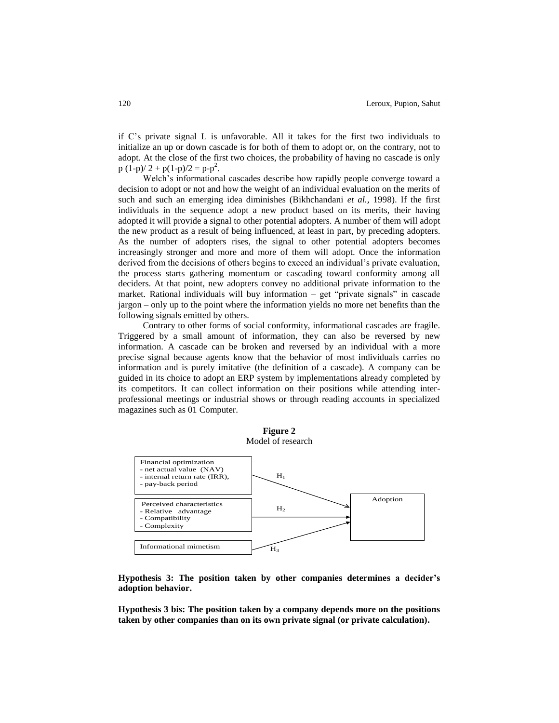if C"s private signal L is unfavorable. All it takes for the first two individuals to initialize an up or down cascade is for both of them to adopt or, on the contrary, not to adopt. At the close of the first two choices, the probability of having no cascade is only  $p(1-p)/2 + p(1-p)/2 = p-p^2$ .

Welch's informational cascades describe how rapidly people converge toward a decision to adopt or not and how the weight of an individual evaluation on the merits of such and such an emerging idea diminishes (Bikhchandani *et al.,* 1998). If the first individuals in the sequence adopt a new product based on its merits, their having adopted it will provide a signal to other potential adopters. A number of them will adopt the new product as a result of being influenced, at least in part, by preceding adopters. As the number of adopters rises, the signal to other potential adopters becomes increasingly stronger and more and more of them will adopt. Once the information derived from the decisions of others begins to exceed an individual"s private evaluation, the process starts gathering momentum or cascading toward conformity among all deciders. At that point, new adopters convey no additional private information to the market. Rational individuals will buy information – get "private signals" in cascade jargon – only up to the point where the information yields no more net benefits than the following signals emitted by others.

Contrary to other forms of social conformity, informational cascades are fragile. Triggered by a small amount of information, they can also be reversed by new information. A cascade can be broken and reversed by an individual with a more precise signal because agents know that the behavior of most individuals carries no information and is purely imitative (the definition of a cascade). A company can be guided in its choice to adopt an ERP system by implementations already completed by its competitors. It can collect information on their positions while attending interprofessional meetings or industrial shows or through reading accounts in specialized magazines such as 01 Computer.



**Hypothesis 3: The position taken by other companies determines a decider's adoption behavior.**

**Hypothesis 3 bis: The position taken by a company depends more on the positions taken by other companies than on its own private signal (or private calculation).**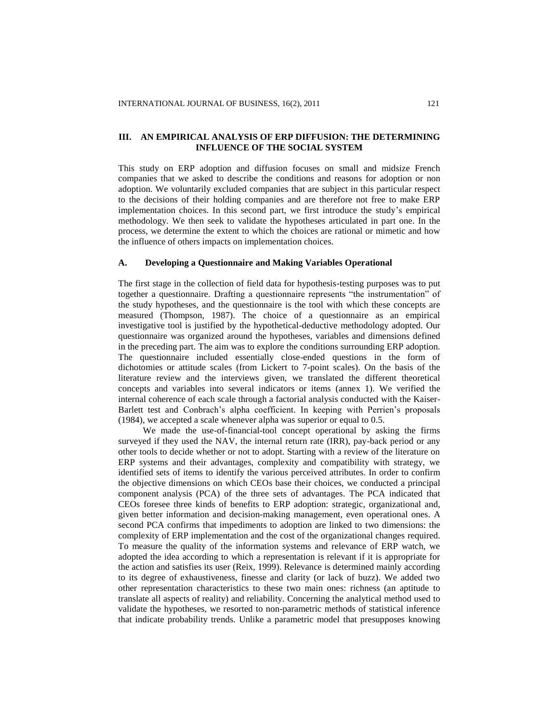# **III. AN EMPIRICAL ANALYSIS OF ERP DIFFUSION: THE DETERMINING INFLUENCE OF THE SOCIAL SYSTEM**

This study on ERP adoption and diffusion focuses on small and midsize French companies that we asked to describe the conditions and reasons for adoption or non adoption. We voluntarily excluded companies that are subject in this particular respect to the decisions of their holding companies and are therefore not free to make ERP implementation choices. In this second part, we first introduce the study"s empirical methodology. We then seek to validate the hypotheses articulated in part one. In the process, we determine the extent to which the choices are rational or mimetic and how the influence of others impacts on implementation choices.

#### **A. Developing a Questionnaire and Making Variables Operational**

The first stage in the collection of field data for hypothesis-testing purposes was to put together a questionnaire. Drafting a questionnaire represents "the instrumentation" of the study hypotheses, and the questionnaire is the tool with which these concepts are measured (Thompson, 1987). The choice of a questionnaire as an empirical investigative tool is justified by the hypothetical-deductive methodology adopted. Our questionnaire was organized around the hypotheses, variables and dimensions defined in the preceding part. The aim was to explore the conditions surrounding ERP adoption. The questionnaire included essentially close-ended questions in the form of dichotomies or attitude scales (from Lickert to 7-point scales). On the basis of the literature review and the interviews given, we translated the different theoretical concepts and variables into several indicators or items (annex 1). We verified the internal coherence of each scale through a factorial analysis conducted with the Kaiser-Barlett test and Conbrach"s alpha coefficient. In keeping with Perrien"s proposals (1984), we accepted a scale whenever alpha was superior or equal to 0.5.

We made the use-of-financial-tool concept operational by asking the firms surveyed if they used the NAV, the internal return rate (IRR), pay-back period or any other tools to decide whether or not to adopt. Starting with a review of the literature on ERP systems and their advantages, complexity and compatibility with strategy, we identified sets of items to identify the various perceived attributes. In order to confirm the objective dimensions on which CEOs base their choices, we conducted a principal component analysis (PCA) of the three sets of advantages. The PCA indicated that CEOs foresee three kinds of benefits to ERP adoption: strategic, organizational and, given better information and decision-making management, even operational ones. A second PCA confirms that impediments to adoption are linked to two dimensions: the complexity of ERP implementation and the cost of the organizational changes required. To measure the quality of the information systems and relevance of ERP watch, we adopted the idea according to which a representation is relevant if it is appropriate for the action and satisfies its user (Reix, 1999). Relevance is determined mainly according to its degree of exhaustiveness, finesse and clarity (or lack of buzz). We added two other representation characteristics to these two main ones: richness (an aptitude to translate all aspects of reality) and reliability. Concerning the analytical method used to validate the hypotheses, we resorted to non-parametric methods of statistical inference that indicate probability trends. Unlike a parametric model that presupposes knowing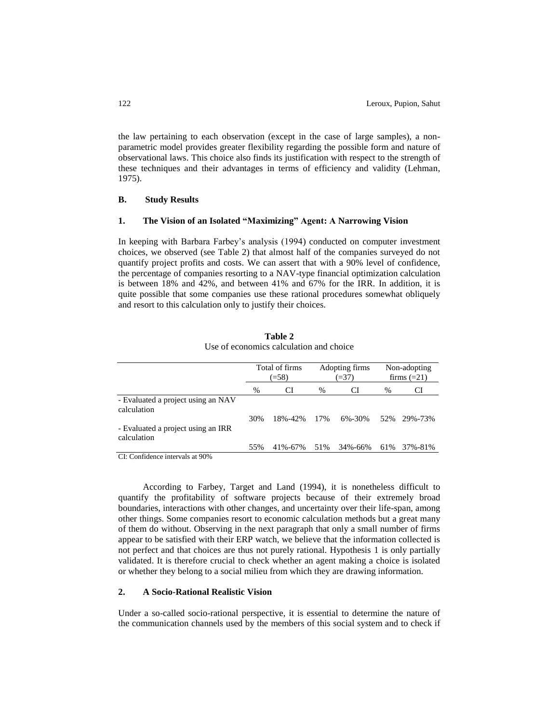the law pertaining to each observation (except in the case of large samples), a nonparametric model provides greater flexibility regarding the possible form and nature of observational laws. This choice also finds its justification with respect to the strength of these techniques and their advantages in terms of efficiency and validity (Lehman, 1975).

#### **B. Study Results**

## **1. The Vision of an Isolated "Maximizing" Agent: A Narrowing Vision**

In keeping with Barbara Farbey"s analysis (1994) conducted on computer investment choices, we observed (see Table 2) that almost half of the companies surveyed do not quantify project profits and costs. We can assert that with a 90% level of confidence, the percentage of companies resorting to a NAV-type financial optimization calculation is between 18% and 42%, and between 41% and 67% for the IRR. In addition, it is quite possible that some companies use these rational procedures somewhat obliquely and resort to this calculation only to justify their choices.

|                                                   | Total of firms<br>$(=58)$ |         | Adopting firms<br>$(=37)$ |              | Non-adopting<br>firms $(=21)$ |             |
|---------------------------------------------------|---------------------------|---------|---------------------------|--------------|-------------------------------|-------------|
|                                                   | %                         | CI      | %                         | CI           | %                             | CI          |
| - Evaluated a project using an NAV<br>calculation |                           |         |                           |              |                               |             |
| - Evaluated a project using an IRR<br>calculation | 30%                       | 18%-42% | 17%                       | $6\% - 30\%$ | 52%                           | 29%-73%     |
| $\sim$ $\sim$<br>.                                | 55%                       | 41%-67% | 51%                       | 34%-66%      |                               | 61% 37%-81% |

### **Table 2** Use of economics calculation and choice

CI: Confidence intervals at 90%

According to Farbey, Target and Land (1994), it is nonetheless difficult to quantify the profitability of software projects because of their extremely broad boundaries, interactions with other changes, and uncertainty over their life-span, among other things. Some companies resort to economic calculation methods but a great many of them do without. Observing in the next paragraph that only a small number of firms appear to be satisfied with their ERP watch, we believe that the information collected is not perfect and that choices are thus not purely rational. Hypothesis 1 is only partially validated. It is therefore crucial to check whether an agent making a choice is isolated or whether they belong to a social milieu from which they are drawing information.

# **2. A Socio-Rational Realistic Vision**

Under a so-called socio-rational perspective, it is essential to determine the nature of the communication channels used by the members of this social system and to check if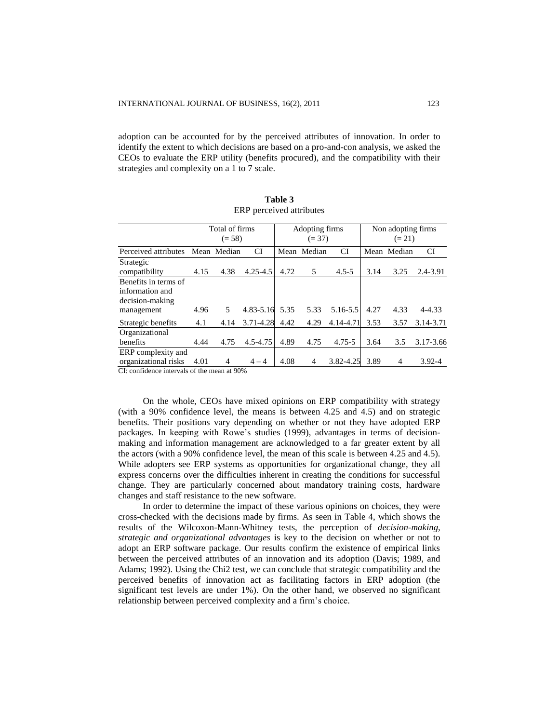adoption can be accounted for by the perceived attributes of innovation. In order to identify the extent to which decisions are based on a pro-and-con analysis, we asked the CEOs to evaluate the ERP utility (benefits procured), and the compatibility with their strategies and complexity on a 1 to 7 scale.

|                      | Total of firms |             |              | Adopting firms |             |            | Non adopting firms |                |            |
|----------------------|----------------|-------------|--------------|----------------|-------------|------------|--------------------|----------------|------------|
|                      | $(= 58)$       |             |              | $(= 37)$       |             |            | $(= 21)$           |                |            |
| Perceived attributes |                | Mean Median | CI           |                | Mean Median | СI         |                    | Mean Median    | CI         |
| Strategic            |                |             |              |                |             |            |                    |                |            |
| compatibility        | 4.15           | 4.38        | $4.25 - 4.5$ | 4.72           | 5           | $4.5 - 5$  | 3.14               | 3.25           | 2.4-3.91   |
| Benefits in terms of |                |             |              |                |             |            |                    |                |            |
| information and      |                |             |              |                |             |            |                    |                |            |
| decision-making      |                |             |              |                |             |            |                    |                |            |
| management           | 4.96           | 5           | 4.83-5.16    | 5.35           | 5.33        | 5.16-5.5   | 4.27               | 4.33           | 4-4.33     |
| Strategic benefits   | 4.1            | 4.14        | 3.71-4.28    | 4.42           | 4.29        | 4.14-4.71  | 3.53               | 3.57           | 3.14-3.71  |
| Organizational       |                |             |              |                |             |            |                    |                |            |
| benefits             | 4.44           | 4.75        | 4.5-4.75     | 4.89           | 4.75        | $4.75 - 5$ | 3.64               | 3.5            | 3.17-3.66  |
| ERP complexity and   |                |             |              |                |             |            |                    |                |            |
| organizational risks | 4.01           | 4           | $4 - 4$      | 4.08           | 4           | 3.82-4.25  | 3.89               | $\overline{4}$ | $3.92 - 4$ |

| Table 3                  |  |  |  |  |  |  |  |
|--------------------------|--|--|--|--|--|--|--|
| ERP perceived attributes |  |  |  |  |  |  |  |

CI: confidence intervals of the mean at 90%

On the whole, CEOs have mixed opinions on ERP compatibility with strategy (with a 90% confidence level, the means is between 4.25 and 4.5) and on strategic benefits. Their positions vary depending on whether or not they have adopted ERP packages. In keeping with Rowe"s studies (1999), advantages in terms of decisionmaking and information management are acknowledged to a far greater extent by all the actors (with a 90% confidence level, the mean of this scale is between 4.25 and 4.5). While adopters see ERP systems as opportunities for organizational change, they all express concerns over the difficulties inherent in creating the conditions for successful change. They are particularly concerned about mandatory training costs, hardware changes and staff resistance to the new software.

In order to determine the impact of these various opinions on choices, they were cross-checked with the decisions made by firms. As seen in Table 4, which shows the results of the Wilcoxon-Mann-Whitney tests, the perception of *decision-making, strategic and organizational advantages* is key to the decision on whether or not to adopt an ERP software package. Our results confirm the existence of empirical links between the perceived attributes of an innovation and its adoption (Davis; 1989, and Adams; 1992). Using the Chi2 test, we can conclude that strategic compatibility and the perceived benefits of innovation act as facilitating factors in ERP adoption (the significant test levels are under 1%). On the other hand, we observed no significant relationship between perceived complexity and a firm"s choice.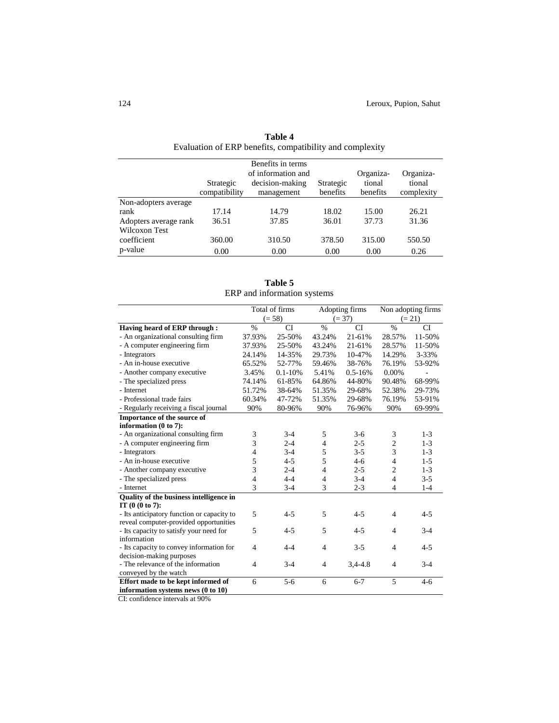|                       |                            | Benefits in terms<br>of information and |                       | Organiza-          | Organiza-            |
|-----------------------|----------------------------|-----------------------------------------|-----------------------|--------------------|----------------------|
|                       | Strategic<br>compatibility | decision-making<br>management           | Strategic<br>benefits | tional<br>benefits | tional<br>complexity |
| Non-adopters average  |                            |                                         |                       |                    |                      |
| rank                  | 17.14                      | 14.79                                   | 18.02                 | 15.00              | 26.21                |
| Adopters average rank | 36.51                      | 37.85                                   | 36.01                 | 37.73              | 31.36                |
| Wilcoxon Test         |                            |                                         |                       |                    |                      |
| coefficient           | 360.00                     | 310.50                                  | 378.50                | 315.00             | 550.50               |
| p-value               | 0.00                       | 0.00                                    | 0.00                  | 0.00               | 0.26                 |

**Table 4** Evaluation of ERP benefits, compatibility and complexity

**Table 5** ERP and information systems

|                                            | Total of firms |              | Adopting firms |             | Non adopting firms |           |
|--------------------------------------------|----------------|--------------|----------------|-------------|--------------------|-----------|
|                                            | $(= 58)$       |              |                | $(= 37)$    | $(= 21)$           |           |
| Having heard of ERP through:               | $\%$           | <b>CI</b>    | $\%$           | <b>CI</b>   | $\%$               | <b>CI</b> |
| - An organizational consulting firm        | 37.93%         | 25-50%       | 43.24%         | 21-61%      | 28.57%             | 11-50%    |
| - A computer engineering firm              | 37.93%         | 25-50%       | 43.24%         | 21-61%      | 28.57%             | 11-50%    |
| - Integrators                              | 24.14%         | 14-35%       | 29.73%         | 10-47%      | 14.29%             | 3-33%     |
| - An in-house executive                    | 65.52%         | 52-77%       | 59.46%         | 38-76%      | 76.19%             | 53-92%    |
| - Another company executive                | 3.45%          | $0.1 - 10\%$ | 5.41%          | $0.5 - 16%$ | 0.00%              |           |
| - The specialized press                    | 74.14%         | 61-85%       | 64.86%         | 44-80%      | 90.48%             | 68-99%    |
| - Internet                                 | 51.72%         | 38-64%       | 51.35%         | 29-68%      | 52.38%             | 29-73%    |
| - Professional trade fairs                 | 60.34%         | 47-72%       | 51.35%         | 29-68%      | 76.19%             | 53-91%    |
| - Regularly receiving a fiscal journal     | 90%            | 80-96%       | 90%            | 76-96%      | 90%                | 69-99%    |
| Importance of the source of                |                |              |                |             |                    |           |
| information (0 to 7):                      |                |              |                |             |                    |           |
| - An organizational consulting firm        | 3              | $3-4$        | 5              | $3-6$       | 3                  | $1-3$     |
| - A computer engineering firm              | 3              | $2 - 4$      | 4              | $2 - 5$     | $\overline{c}$     | $1 - 3$   |
| - Integrators                              | 4              | $3-4$        | 5              | $3 - 5$     | 3                  | $1-3$     |
| - An in-house executive                    | 5              | $4 - 5$      | 5              | $4-6$       | 4                  | $1-5$     |
| - Another company executive                | 3              | $2 - 4$      | 4              | $2 - 5$     | $\overline{c}$     | $1 - 3$   |
| - The specialized press                    | 4              | $4 - 4$      | 4              | $3 - 4$     | 4                  | $3 - 5$   |
| - Internet                                 | 3              | $3 - 4$      | 3              | $2 - 3$     | 4                  | $1 - 4$   |
| Quality of the business intelligence in    |                |              |                |             |                    |           |
| IT $(0 (0 to 7))$ :                        |                |              |                |             |                    |           |
| - Its anticipatory function or capacity to | 5              | $4 - 5$      | 5              | $4 - 5$     | 4                  | $4 - 5$   |
| reveal computer-provided opportunities     |                |              |                |             |                    |           |
| - Its capacity to satisfy your need for    | 5              | $4 - 5$      | 5              | $4 - 5$     | $\overline{4}$     | $3 - 4$   |
| information                                |                |              |                |             |                    |           |
| - Its capacity to convey information for   | $\overline{4}$ | $4 - 4$      | $\overline{4}$ | $3 - 5$     | 4                  | $4 - 5$   |
| decision-making purposes                   |                |              |                |             |                    |           |
| - The relevance of the information         | 4              | $3-4$        | 4              | $3.4 - 4.8$ | 4                  | $3 - 4$   |
| conveyed by the watch                      |                |              |                |             |                    |           |
| Effort made to be kept informed of         | 6              | $5 - 6$      | 6              | $6 - 7$     | 5                  | $4 - 6$   |
| information systems news (0 to 10)         |                |              |                |             |                    |           |

CI: confidence intervals at 90%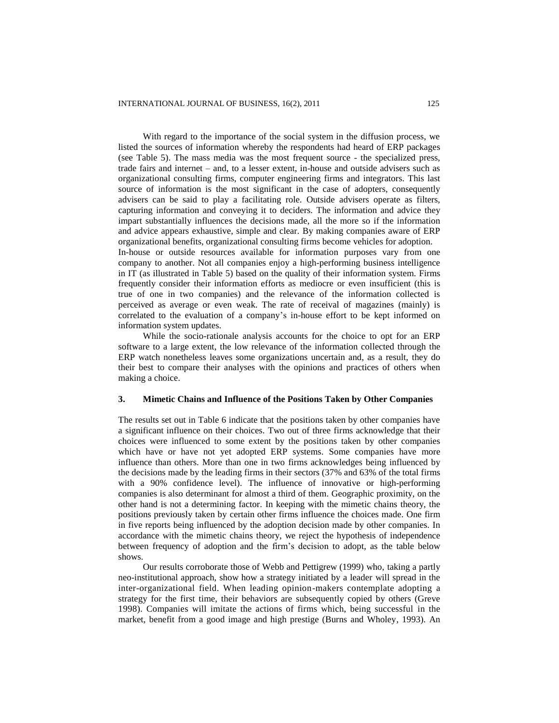information system updates.

With regard to the importance of the social system in the diffusion process, we listed the sources of information whereby the respondents had heard of ERP packages (see Table 5). The mass media was the most frequent source - the specialized press, trade fairs and internet – and, to a lesser extent, in-house and outside advisers such as organizational consulting firms, computer engineering firms and integrators. This last source of information is the most significant in the case of adopters, consequently advisers can be said to play a facilitating role. Outside advisers operate as filters, capturing information and conveying it to deciders. The information and advice they impart substantially influences the decisions made, all the more so if the information and advice appears exhaustive, simple and clear. By making companies aware of ERP organizational benefits, organizational consulting firms become vehicles for adoption. In-house or outside resources available for information purposes vary from one company to another. Not all companies enjoy a high-performing business intelligence in IT (as illustrated in Table 5) based on the quality of their information system. Firms frequently consider their information efforts as mediocre or even insufficient (this is true of one in two companies) and the relevance of the information collected is perceived as average or even weak. The rate of receival of magazines (mainly) is correlated to the evaluation of a company"s in-house effort to be kept informed on

While the socio-rationale analysis accounts for the choice to opt for an ERP software to a large extent, the low relevance of the information collected through the ERP watch nonetheless leaves some organizations uncertain and, as a result, they do their best to compare their analyses with the opinions and practices of others when making a choice.

#### **3. Mimetic Chains and Influence of the Positions Taken by Other Companies**

The results set out in Table 6 indicate that the positions taken by other companies have a significant influence on their choices. Two out of three firms acknowledge that their choices were influenced to some extent by the positions taken by other companies which have or have not yet adopted ERP systems. Some companies have more influence than others. More than one in two firms acknowledges being influenced by the decisions made by the leading firms in their sectors (37% and 63% of the total firms with a 90% confidence level). The influence of innovative or high-performing companies is also determinant for almost a third of them. Geographic proximity, on the other hand is not a determining factor. In keeping with the mimetic chains theory, the positions previously taken by certain other firms influence the choices made. One firm in five reports being influenced by the adoption decision made by other companies. In accordance with the mimetic chains theory, we reject the hypothesis of independence between frequency of adoption and the firm"s decision to adopt, as the table below shows.

Our results corroborate those of Webb and Pettigrew (1999) who, taking a partly neo-institutional approach, show how a strategy initiated by a leader will spread in the inter-organizational field. When leading opinion-makers contemplate adopting a strategy for the first time, their behaviors are subsequently copied by others (Greve 1998). Companies will imitate the actions of firms which, being successful in the market, benefit from a good image and high prestige (Burns and Wholey, 1993). An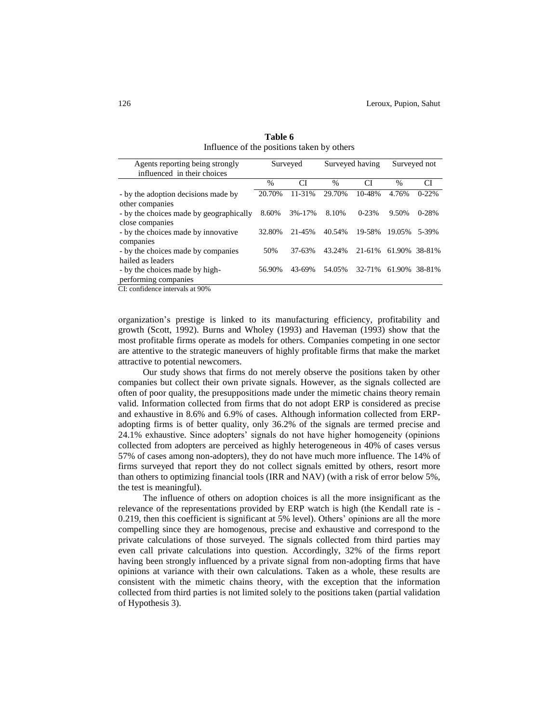| Agents reporting being strongly         | Surveyed      |        | Surveyed having |           | Surveyed not  |           |
|-----------------------------------------|---------------|--------|-----------------|-----------|---------------|-----------|
| influenced in their choices             |               |        |                 |           |               |           |
|                                         | $\frac{0}{0}$ | CI     | $\frac{0}{0}$   | СI        | $\frac{0}{0}$ | СI        |
| - by the adoption decisions made by     | 20.70%        | 11-31% | 29.70%          | 10-48%    | 4.76%         | $0-22%$   |
| other companies                         |               |        |                 |           |               |           |
| - by the choices made by geographically | 8.60%         | 3%-17% | 8.10%           | $0 - 23%$ | 9.50%         | $0 - 28%$ |
| close companies                         |               |        |                 |           |               |           |
| - by the choices made by innovative     | 32.80%        | 21-45% | 40.54%          | 19-58%    | 19.05%        | 5-39%     |
| companies                               |               |        |                 |           |               |           |
| - by the choices made by companies      | 50%           | 37-63% | 43.24%          | 21-61%    | 61.90%        | 38-81%    |
| hailed as leaders                       |               |        |                 |           |               |           |
| - by the choices made by high-          | 56.90%        | 43-69% | 54.05%          | 32-71%    | 61.90%        | 38-81%    |
| performing companies                    |               |        |                 |           |               |           |

**Table 6** Influence of the positions taken by others

CI: confidence intervals at 90%

organization"s prestige is linked to its manufacturing efficiency, profitability and growth (Scott, 1992). Burns and Wholey (1993) and Haveman (1993) show that the most profitable firms operate as models for others. Companies competing in one sector are attentive to the strategic maneuvers of highly profitable firms that make the market attractive to potential newcomers.

Our study shows that firms do not merely observe the positions taken by other companies but collect their own private signals. However, as the signals collected are often of poor quality, the presuppositions made under the mimetic chains theory remain valid. Information collected from firms that do not adopt ERP is considered as precise and exhaustive in 8.6% and 6.9% of cases. Although information collected from ERPadopting firms is of better quality, only 36.2% of the signals are termed precise and 24.1% exhaustive. Since adopters" signals do not have higher homogeneity (opinions collected from adopters are perceived as highly heterogeneous in 40% of cases versus 57% of cases among non-adopters), they do not have much more influence. The 14% of firms surveyed that report they do not collect signals emitted by others, resort more than others to optimizing financial tools (IRR and NAV) (with a risk of error below 5%, the test is meaningful).

The influence of others on adoption choices is all the more insignificant as the relevance of the representations provided by ERP watch is high (the Kendall rate is - 0.219, then this coefficient is significant at 5% level). Others" opinions are all the more compelling since they are homogenous, precise and exhaustive and correspond to the private calculations of those surveyed. The signals collected from third parties may even call private calculations into question. Accordingly, 32% of the firms report having been strongly influenced by a private signal from non-adopting firms that have opinions at variance with their own calculations. Taken as a whole, these results are consistent with the mimetic chains theory, with the exception that the information collected from third parties is not limited solely to the positions taken (partial validation of Hypothesis 3).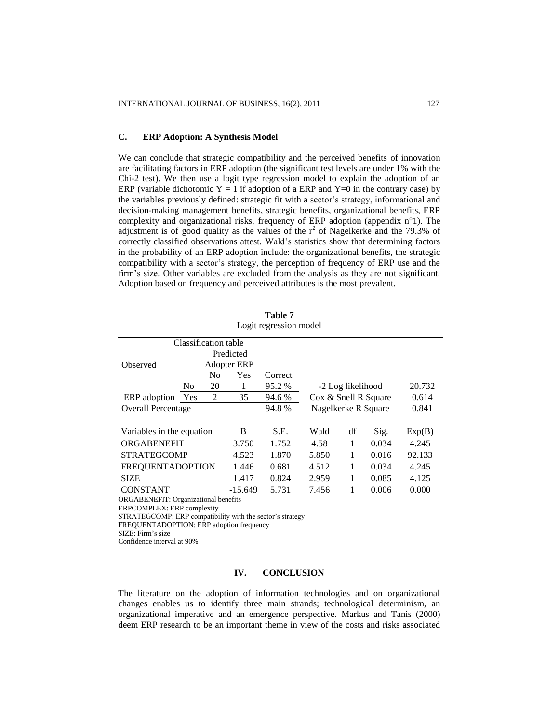## **C. ERP Adoption: A Synthesis Model**

We can conclude that strategic compatibility and the perceived benefits of innovation are facilitating factors in ERP adoption (the significant test levels are under 1% with the Chi-2 test). We then use a logit type regression model to explain the adoption of an ERP (variable dichotomic  $Y = 1$  if adoption of a ERP and  $Y=0$  in the contrary case) by the variables previously defined: strategic fit with a sector"s strategy, informational and decision-making management benefits, strategic benefits, organizational benefits, ERP complexity and organizational risks, frequency of ERP adoption (appendix n°1). The adjustment is of good quality as the values of the  $r^2$  of Nagelkerke and the 79.3% of correctly classified observations attest. Wald"s statistics show that determining factors in the probability of an ERP adoption include: the organizational benefits, the strategic compatibility with a sector"s strategy, the perception of frequency of ERP use and the firm"s size. Other variables are excluded from the analysis as they are not significant. Adoption based on frequency and perceived attributes is the most prevalent.

|                           |                           | Classification table |                    |         |                               |                   |        |        |
|---------------------------|---------------------------|----------------------|--------------------|---------|-------------------------------|-------------------|--------|--------|
| Predicted                 |                           |                      |                    |         |                               |                   |        |        |
| Observed                  |                           |                      | <b>Adopter ERP</b> |         |                               |                   |        |        |
|                           |                           | No                   | Yes                | Correct |                               |                   |        |        |
|                           | N <sub>o</sub>            | 20                   |                    | 95.2 %  |                               | -2 Log likelihood |        | 20.732 |
| ERP adoption              | <b>Yes</b>                | 2                    | 35                 | 94.6 %  | Cox & Snell R Square<br>0.614 |                   |        |        |
|                           | <b>Overall Percentage</b> |                      |                    | 94.8%   | Nagelkerke R Square           |                   |        | 0.841  |
|                           |                           |                      |                    |         |                               |                   |        |        |
| Variables in the equation |                           |                      | B                  | S.E.    | Wald                          | df                | Sig.   | Exp(B) |
| ORGABENEFIT               |                           |                      | 3.750              | 1.752   | 4.58                          | 1                 | 0.034  | 4.245  |
| <b>STRATEGCOMP</b>        |                           | 4.523                | 1.870              | 5.850   | 1                             | 0.016             | 92.133 |        |
| <b>FREQUENTADOPTION</b>   |                           | 1.446                | 0.681              | 4.512   | 1                             | 0.034             | 4.245  |        |
| <b>SIZE</b>               |                           | 1.417                | 0.824              | 2.959   | 1                             | 0.085             | 4.125  |        |
| <b>CONSTANT</b>           |                           | $-15.649$            | 5.731              | 7.456   | 1                             | 0.006             | 0.000  |        |
|                           |                           | $\rightarrow$        |                    |         |                               |                   |        |        |

**Table 7** Logit regression model

ORGABENEFIT: Organizational benefits

ERPCOMPLEX: ERP complexity

STRATEGCOMP: ERP compatibility with the sector's strategy

FREQUENTADOPTION: ERP adoption frequency

SIZE: Firm"s size

Confidence interval at 90%

# **IV. CONCLUSION**

The literature on the adoption of information technologies and on organizational changes enables us to identify three main strands; technological determinism, an organizational imperative and an emergence perspective. Markus and Tanis (2000) deem ERP research to be an important theme in view of the costs and risks associated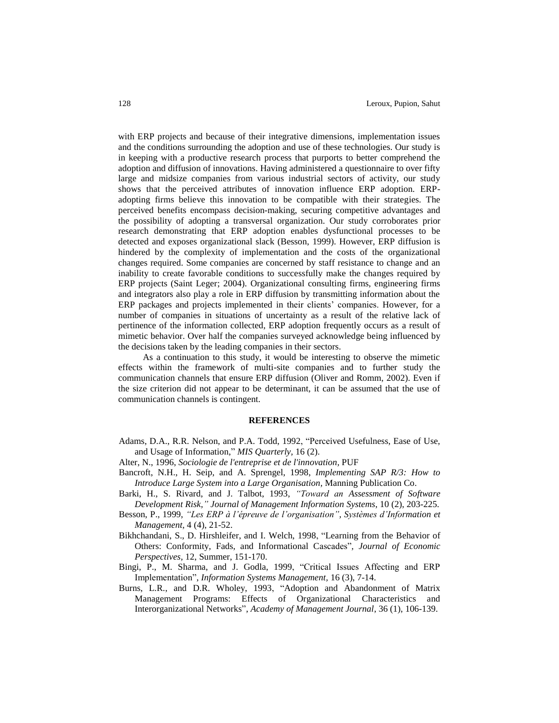with ERP projects and because of their integrative dimensions, implementation issues and the conditions surrounding the adoption and use of these technologies. Our study is in keeping with a productive research process that purports to better comprehend the adoption and diffusion of innovations. Having administered a questionnaire to over fifty large and midsize companies from various industrial sectors of activity, our study shows that the perceived attributes of innovation influence ERP adoption. ERPadopting firms believe this innovation to be compatible with their strategies. The perceived benefits encompass decision-making, securing competitive advantages and the possibility of adopting a transversal organization. Our study corroborates prior research demonstrating that ERP adoption enables dysfunctional processes to be detected and exposes organizational slack (Besson, 1999). However, ERP diffusion is hindered by the complexity of implementation and the costs of the organizational changes required. Some companies are concerned by staff resistance to change and an inability to create favorable conditions to successfully make the changes required by ERP projects (Saint Leger; 2004). Organizational consulting firms, engineering firms and integrators also play a role in ERP diffusion by transmitting information about the ERP packages and projects implemented in their clients" companies. However, for a number of companies in situations of uncertainty as a result of the relative lack of pertinence of the information collected, ERP adoption frequently occurs as a result of mimetic behavior. Over half the companies surveyed acknowledge being influenced by the decisions taken by the leading companies in their sectors.

As a continuation to this study, it would be interesting to observe the mimetic effects within the framework of multi-site companies and to further study the communication channels that ensure ERP diffusion (Oliver and Romm, 2002). Even if the size criterion did not appear to be determinant, it can be assumed that the use of communication channels is contingent.

#### **REFERENCES**

- Adams, D.A., R.R. Nelson, and P.A. Todd, 1992, "Perceived Usefulness, Ease of Use, and Usage of Information," *MIS Quarterly,* 16 (2).
- Alter, N., 1996, *Sociologie de l'entreprise et de l'innovation,* PUF
- Bancroft, N.H., H. Seip, and A. Sprengel, 1998, *Implementing SAP R/3: How to Introduce Large System into a Large Organisation,* Manning Publication Co.
- Barki, H., S. Rivard, and J. Talbot, 1993, *"Toward an Assessment of Software Development Risk," Journal of Management Information Systems*, 10 (2), 203-225.
- Besson, P., 1999, *"Les ERP à l'épreuve de l'organisation", Systèmes d'Information et Management,* 4 (4), 21-52.
- Bikhchandani, S., D. Hirshleifer, and I. Welch, 1998, "Learning from the Behavior of Others: Conformity, Fads, and Informational Cascades"*, Journal of Economic Perspectives,* 12, Summer, 151-170.
- Bingi, P., M. Sharma, and J. Godla, 1999, "Critical Issues Affecting and ERP Implementation", *Information Systems Management,* 16 (3), 7-14.
- Burns, L.R., and D.R. Wholey, 1993, "Adoption and Abandonment of Matrix Management Programs: Effects of Organizational Characteristics and Interorganizational Networks", *Academy of Management Journal*, 36 (1), 106-139.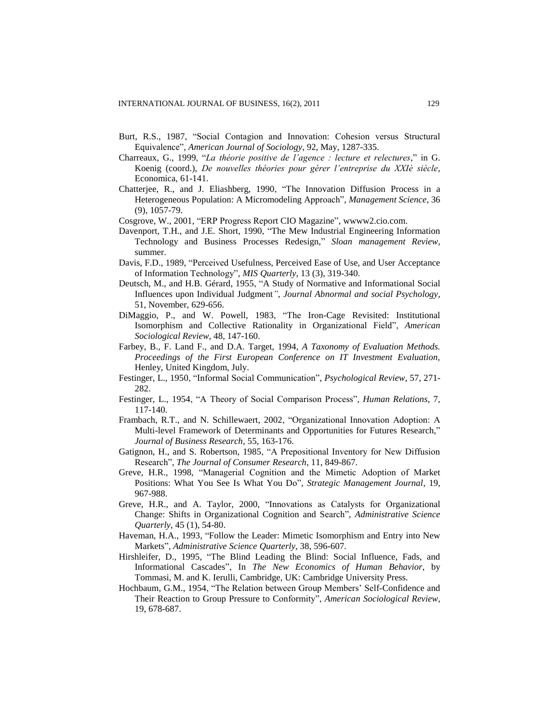- Burt, R.S., 1987, "Social Contagion and Innovation: Cohesion versus Structural Equivalence", *American Journal of Sociology*, 92, May, 1287-335.
- Charreaux, G., 1999, "*La théorie positive de l'agence : lecture et relectures,*" in G. Koenig (coord.), *De nouvelles théories pour gérer l'entreprise du XXIè siècle*, Economica, 61-141.
- Chatterjee, R., and J. Eliashberg, 1990, "The Innovation Diffusion Process in a Heterogeneous Population: A Micromodeling Approach", *Management Science*, 36 (9), 1057-79.
- Cosgrove, W., 2001, "ERP Progress Report CIO Magazine", wwww2.cio.com.
- Davenport, T.H., and J.E. Short, 1990, "The Mew Industrial Engineering Information Technology and Business Processes Redesign," *Sloan management Review*, summer.
- Davis, F.D., 1989, "Perceived Usefulness, Perceived Ease of Use, and User Acceptance of Information Technology", *MIS Quarterly*, 13 (3), 319-340.
- Deutsch, M., and H.B. Gérard, 1955, "A Study of Normative and Informational Social Influences upon Individual Judgment*"*, *Journal Abnormal and social Psychology*, 51, November, 629-656.
- DiMaggio, P., and W. Powell, 1983, "The Iron-Cage Revisited: Institutional Isomorphism and Collective Rationality in Organizational Field", *American Sociological Review*, 48, 147-160.
- Farbey, B., F. Land F., and D.A. Target, 1994, *A Taxonomy of Evaluation Methods. Proceedings of the First European Conference on IT Investment Evaluation,* Henley, United Kingdom, July.
- Festinger, L., 1950, "Informal Social Communication", *Psychological Review*, 57, 271- 282.
- Festinger, L., 1954, "A Theory of Social Comparison Process", *Human Relations*, 7, 117-140.
- Frambach, R.T., and N. Schillewaert, 2002, "Organizational Innovation Adoption: A Multi-level Framework of Determinants and Opportunities for Futures Research," *Journal of Business Research*, 55, 163-176.
- Gatignon, H., and S. Robertson, 1985, "A Prepositional Inventory for New Diffusion Research", *The Journal of Consumer Research*, 11, 849-867.
- Greve, H.R., 1998, "Managerial Cognition and the Mimetic Adoption of Market Positions: What You See Is What You Do", *Strategic Management Journal*, 19, 967-988.
- Greve, H.R., and A. Taylor, 2000, "Innovations as Catalysts for Organizational Change: Shifts in Organizational Cognition and Search", *Administrative Science Quarterly*, 45 (1), 54-80.
- Haveman, H.A., 1993, "Follow the Leader: Mimetic Isomorphism and Entry into New Markets", *Administrative Science Quarterly*, 38, 596-607.
- Hirshleifer, D., 1995, "The Blind Leading the Blind: Social Influence, Fads, and Informational Cascades", In *The New Economics of Human Behavior*, by Tommasi, M. and K. Ierulli, Cambridge, UK: Cambridge University Press.
- Hochbaum, G.M., 1954, "The Relation between Group Members" Self-Confidence and Their Reaction to Group Pressure to Conformity", *American Sociological Review*, 19, 678-687.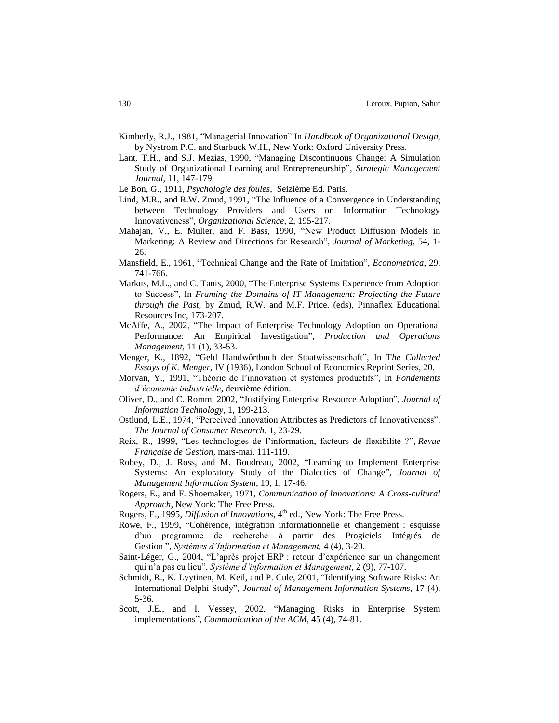- Kimberly, R.J., 1981*,* "Managerial Innovation" In *Handbook of Organizational Design*, by Nystrom P.C. and Starbuck W.H., New York: Oxford University Press.
- Lant, T.H., and S.J. Mezias, 1990, "Managing Discontinuous Change: A Simulation Study of Organizational Learning and Entrepreneurship", *Strategic Management Journal*, 11, 147-179.
- Le Bon, G., 1911, *Psychologie des foules*, Seizième Ed. Paris.
- Lind, M.R., and R.W. Zmud, 1991, "The Influence of a Convergence in Understanding between Technology Providers and Users on Information Technology Innovativeness", *Organizational Science*, 2, 195-217.
- Mahajan, V., E. Muller, and F. Bass, 1990, "New Product Diffusion Models in Marketing: A Review and Directions for Research", *Journal of Marketing*, 54, 1- 26.
- Mansfield, E., 1961, "Technical Change and the Rate of Imitation", *Econometrica*, 29, 741-766.
- Markus, M.L., and C. Tanis, 2000, "The Enterprise Systems Experience from Adoption to Success", In *Framing the Domains of IT Management: Projecting the Future through the Past*, by Zmud, R.W. and M.F. Price. (eds), Pinnaflex Educational Resources Inc, 173-207.
- McAffe, A., 2002, "The Impact of Enterprise Technology Adoption on Operational Performance: An Empirical Investigation", *Production and Operations Management*, 11 (1), 33-53.
- Menger, K., 1892, "Geld Handwôrtbuch der Staatwissenschaft", In T*he Collected Essays of K. Menger*, IV (1936), London School of Economics Reprint Series, 20.
- Morvan, Y., 1991, "Théorie de l"innovation et systèmes productifs", In *Fondements d'économie industrielle*, deuxième édition.
- Oliver, D., and C. Romm, 2002, "Justifying Enterprise Resource Adoption", *Journal of Information Technology,* 1, 199-213.
- Ostlund, L.E., 1974, "Perceived Innovation Attributes as Predictors of Innovativeness", *The Journal of Consumer Research*. 1, 23-29.
- Reix, R., 1999, "Les technologies de l"information, facteurs de flexibilité ?", *Revue Française de Gestion*, mars-mai, 111-119.
- Robey, D., J. Ross, and M. Boudreau, 2002, "Learning to Implement Enterprise Systems: An exploratory Study of the Dialectics of Change", *Journal of Management Information System*, 19, 1, 17-46.
- Rogers, E., and F. Shoemaker, 1971, *Communication of Innovations: A Cross-cultural Approach*, New York: The Free Press.
- Rogers, E., 1995, *Diffusion of Innovations*, 4<sup>th</sup> ed., New York: The Free Press.
- Rowe, F., 1999, "Cohérence, intégration informationnelle et changement : esquisse d"un programme de recherche à partir des Progiciels Intégrés de Gestion ", *Systèmes d'Information et Management,* 4 (4), 3-20.
- Saint-Léger, G., 2004, "L"après projet ERP : retour d"expérience sur un changement qui n"a pas eu lieu", *Système d'information et Management*, 2 (9), 77-107.
- Schmidt, R., K. Lyytinen, M. Keil, and P. Cule, 2001, "Identifying Software Risks: An International Delphi Study"*, Journal of Management Information Systems*, 17 (4), 5-36.
- Scott, J.E., and I. Vessey, 2002, "Managing Risks in Enterprise System implementations", *Communication of the ACM*, 45 (4), 74-81.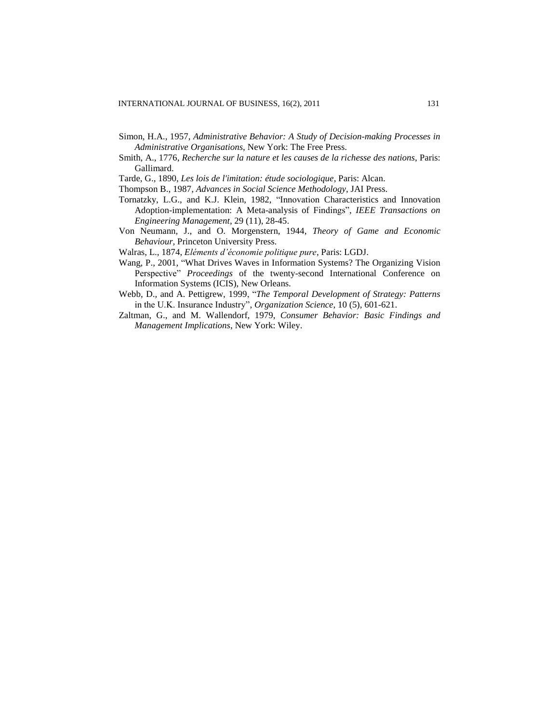- Simon, H.A., 1957, *Administrative Behavior: A Study of Decision-making Processes in Administrative Organisations*, New York: The Free Press.
- Smith, A., 1776, *Recherche sur la nature et les causes de la richesse des nations*, Paris: Gallimard.
- Tarde, G., 1890, *Les lois de l'imitation: étude sociologique*, Paris: Alcan.
- Thompson B., 1987, *Advances in Social Science Methodology*, JAI Press.
- Tornatzky, L.G., and K.J. Klein, 1982, "Innovation Characteristics and Innovation Adoption-implementation: A Meta-analysis of Findings", *IEEE Transactions on Engineering Management*, 29 (11), 28-45.
- Von Neumann, J., and O. Morgenstern, 1944, *Theory of Game and Economic Behaviour,* Princeton University Press.
- Walras, L., 1874, *Eléments d'économie politique pure*, Paris: LGDJ.
- Wang, P., 2001, "What Drives Waves in Information Systems? The Organizing Vision Perspective" *Proceedings* of the twenty-second International Conference on Information Systems (ICIS), New Orleans.
- Webb, D., and A. Pettigrew, 1999, "*The Temporal Development of Strategy: Patterns* in the U.K. Insurance Industry", *Organization Science*, 10 (5), 601-621.
- Zaltman, G., and M. Wallendorf, 1979, *Consumer Behavior: Basic Findings and Management Implications*, New York: Wiley.